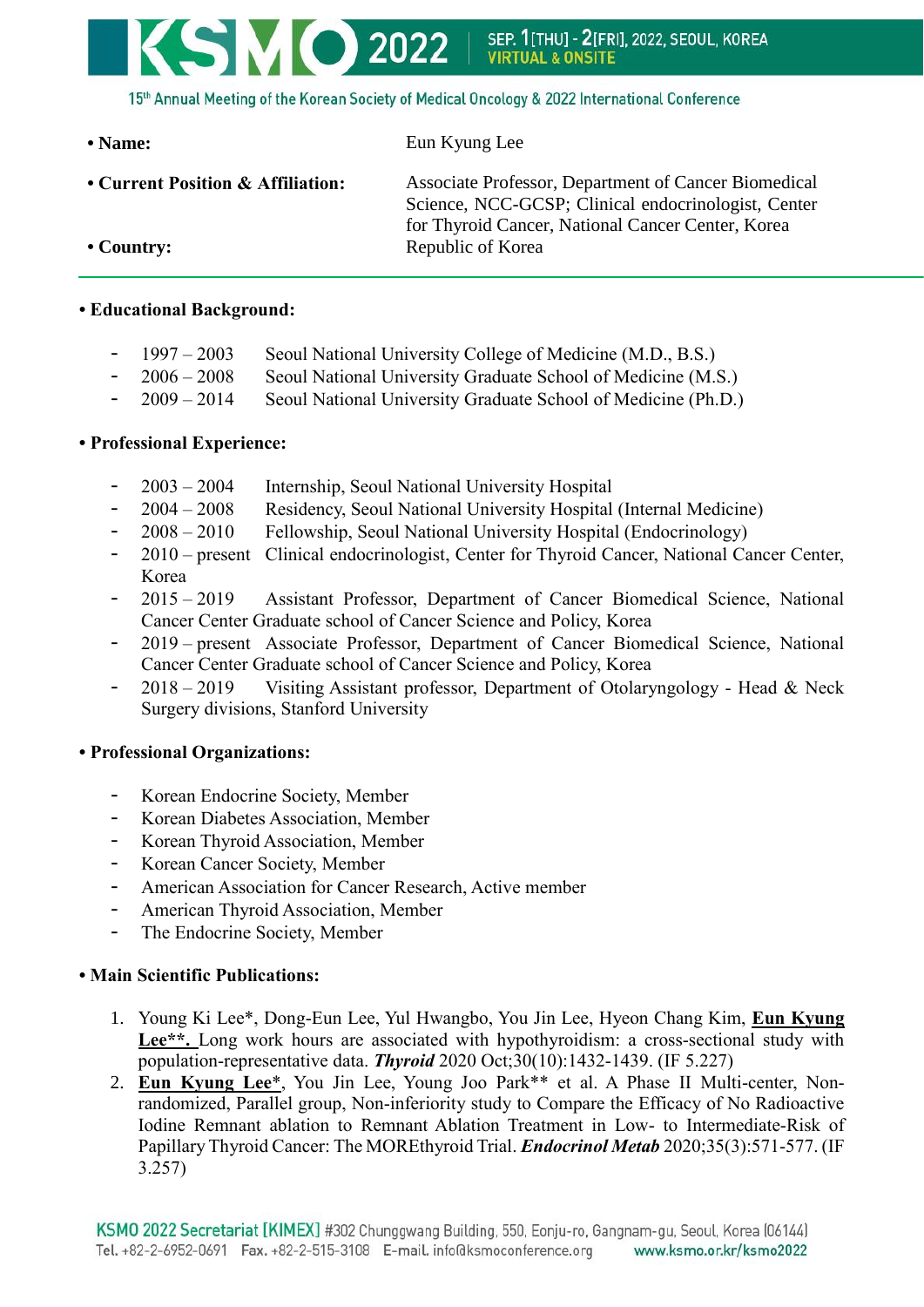# **SMO 2022** SEP. 1[THU] - 2[FRI], 2022, SEOUL, KOREA<br>VIRTUAL & ONSITE 15th Annual Meeting of the Korean Society of Medical Oncology & 2022 International Conference

| $\cdot$ Name:                     | Eun Kyung Lee                                                                                                                                                    |
|-----------------------------------|------------------------------------------------------------------------------------------------------------------------------------------------------------------|
| • Current Position & Affiliation: | Associate Professor, Department of Cancer Biomedical<br>Science, NCC-GCSP; Clinical endocrinologist, Center<br>for Thyroid Cancer, National Cancer Center, Korea |
| $\cdot$ Country:                  | Republic of Korea                                                                                                                                                |

## **• Educational Background:**

- 1997 2003 Seoul National University College of Medicine (M.D., B.S.)
- 2006 2008 Seoul National University Graduate School of Medicine (M.S.)
- 2009 2014 Seoul National University Graduate School of Medicine (Ph.D.)

### **• Professional Experience:**

- 2003 2004 Internship, Seoul National University Hospital
- 2004 2008 Residency, Seoul National University Hospital (Internal Medicine)
- 2008 2010 Fellowship, Seoul National University Hospital (Endocrinology)
- 2010 present Clinical endocrinologist, Center for Thyroid Cancer, National Cancer Center, Korea
- 2015 2019 Assistant Professor, Department of Cancer Biomedical Science, National Cancer Center Graduate school of Cancer Science and Policy, Korea
- 2019 present Associate Professor, Department of Cancer Biomedical Science, National Cancer Center Graduate school of Cancer Science and Policy, Korea
- $2018 2019$  Visiting Assistant professor, Department of Otolaryngology Head & Neck Surgery divisions, Stanford University

### **• Professional Organizations:**

- Korean Endocrine Society, Member
- Korean Diabetes Association, Member
- Korean Thyroid Association, Member
- Korean Cancer Society, Member
- American Association for Cancer Research, Active member
- American Thyroid Association, Member
- The Endocrine Society, Member

### **• Main Scientific Publications:**

- 1. Young Ki Lee\*, Dong-Eun Lee, Yul Hwangbo, You Jin Lee, Hyeon Chang Kim, **Eun Kyung**  Lee<sup>\*\*</sup>. Long work hours are associated with hypothyroidism: a cross-sectional study with population-representative data. *Thyroid* 2020 Oct;30(10):1432-1439. (IF 5.227)
- 2. **Eun Kyung Lee**\*, You Jin Lee, Young Joo Park\*\* et al. A Phase II Multi-center, Nonrandomized, Parallel group, Non-inferiority study to Compare the Efficacy of No Radioactive Iodine Remnant ablation to Remnant Ablation Treatment in Low- to Intermediate-Risk of Papillary Thyroid Cancer: The MOREthyroid Trial. *Endocrinol Metab* 2020;35(3):571-577. (IF 3.257)